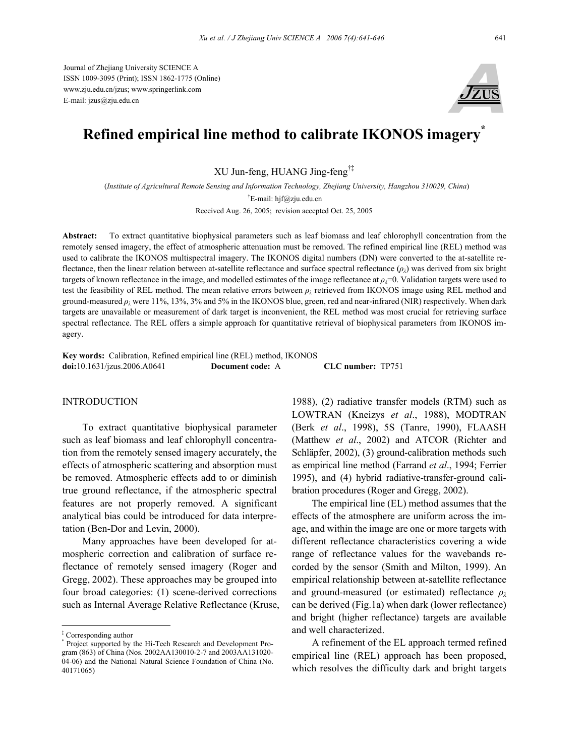Journal of Zhejiang University SCIENCE A ISSN 1009-3095 (Print); ISSN 1862-1775 (Online) www.zju.edu.cn/jzus; www.springerlink.com E-mail: jzus@zju.edu.cn



# **Refined empirical line method to calibrate IKONOS imagery\***

XU Jun-feng, HUANG Jing-feng†‡

(*Institute of Agricultural Remote Sensing and Information Technology, Zhejiang University, Hangzhou 310029, China*) † E-mail: hjf@zju.edu.cn

Received Aug. 26, 2005; revision accepted Oct. 25, 2005

**Abstract:** To extract quantitative biophysical parameters such as leaf biomass and leaf chlorophyll concentration from the remotely sensed imagery, the effect of atmospheric attenuation must be removed. The refined empirical line (REL) method was used to calibrate the IKONOS multispectral imagery. The IKONOS digital numbers (DN) were converted to the at-satellite reflectance, then the linear relation between at-satellite reflectance and surface spectral reflectance (*ρλ*) was derived from six bright targets of known reflectance in the image, and modelled estimates of the image reflectance at  $\rho_{\rm i}=0$ . Validation targets were used to test the feasibility of REL method. The mean relative errors between *ρλ* retrieved from IKONOS image using REL method and ground-measured *ρλ* were 11%, 13%, 3% and 5% in the IKONOS blue, green, red and near-infrared (NIR) respectively. When dark targets are unavailable or measurement of dark target is inconvenient, the REL method was most crucial for retrieving surface spectral reflectance. The REL offers a simple approach for quantitative retrieval of biophysical parameters from IKONOS imagery.

**Key words:** Calibration, Refined empirical line (REL) method, IKONOS **doi:**10.1631/jzus.2006.A0641 **Document code:** A **CLC number:** TP751

# **INTRODUCTION**

To extract quantitative biophysical parameter such as leaf biomass and leaf chlorophyll concentration from the remotely sensed imagery accurately, the effects of atmospheric scattering and absorption must be removed. Atmospheric effects add to or diminish true ground reflectance, if the atmospheric spectral features are not properly removed. A significant analytical bias could be introduced for data interpretation (Ben-Dor and Levin, 2000).

Many approaches have been developed for atmospheric correction and calibration of surface reflectance of remotely sensed imagery (Roger and Gregg, 2002). These approaches may be grouped into four broad categories: (1) scene-derived corrections such as Internal Average Relative Reflectance (Kruse,

1988), (2) radiative transfer models (RTM) such as LOWTRAN (Kneizys *et al*., 1988), MODTRAN (Berk *et al*., 1998), 5S (Tanre, 1990), FLAASH (Matthew *et al*., 2002) and ATCOR (Richter and Schläpfer, 2002), (3) ground-calibration methods such as empirical line method (Farrand *et al*., 1994; Ferrier 1995), and (4) hybrid radiative-transfer-ground calibration procedures (Roger and Gregg, 2002).

The empirical line (EL) method assumes that the effects of the atmosphere are uniform across the image, and within the image are one or more targets with different reflectance characteristics covering a wide range of reflectance values for the wavebands recorded by the sensor (Smith and Milton, 1999). An empirical relationship between at-satellite reflectance and ground-measured (or estimated) reflectance *ρλ* can be derived (Fig.1a) when dark (lower reflectance) and bright (higher reflectance) targets are available and well characterized.

A refinement of the EL approach termed refined empirical line (REL) approach has been proposed, which resolves the difficulty dark and bright targets

<sup>‡</sup> Corresponding author

<sup>\*</sup> Project supported by the Hi-Tech Research and Development Program (863) of China (Nos. 2002AA130010-2-7 and 2003AA131020- 04-06) and the National Natural Science Foundation of China (No. 40171065)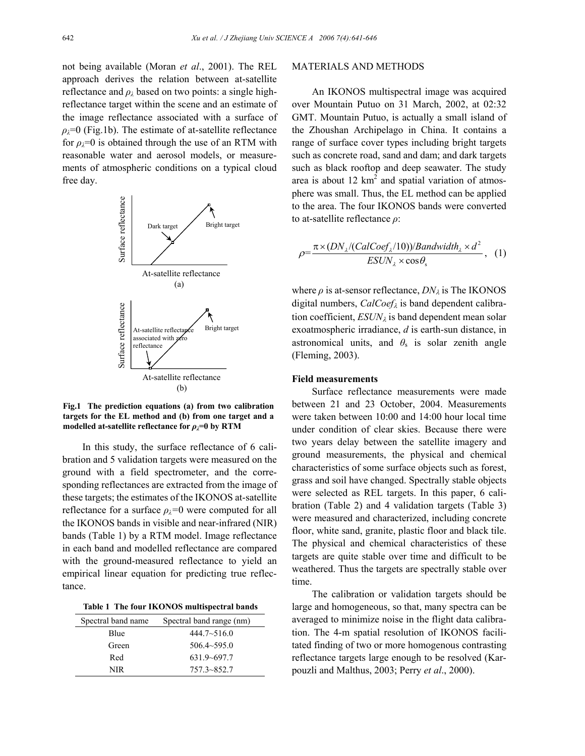not being available (Moran *et al*., 2001). The REL approach derives the relation between at-satellite reflectance and  $\rho_{\lambda}$  based on two points: a single highreflectance target within the scene and an estimate of the image reflectance associated with a surface of  $\rho_{\lambda}=0$  (Fig.1b). The estimate of at-satellite reflectance for  $\rho_{\lambda}=0$  is obtained through the use of an RTM with reasonable water and aerosol models, or measurements of atmospheric conditions on a typical cloud free day.



**Fig.1 The prediction equations (a) from two calibration targets for the EL method and (b) from one target and a** modelled at-satellite reflectance for  $\rho_{\lambda}$ =0 by RTM

In this study, the surface reflectance of 6 calibration and 5 validation targets were measured on the ground with a field spectrometer, and the corresponding reflectances are extracted from the image of these targets; the estimates of the IKONOS at-satellite reflectance for a surface  $\rho_i=0$  were computed for all the IKONOS bands in visible and near-infrared (NIR) bands (Table 1) by a RTM model. Image reflectance in each band and modelled reflectance are compared with the ground-measured reflectance to yield an empirical linear equation for predicting true reflectance.

| Table 1 The four IKONOS multispectral bands |  |  |  |  |  |
|---------------------------------------------|--|--|--|--|--|
|---------------------------------------------|--|--|--|--|--|

| Spectral band name | Spectral band range (nm) |
|--------------------|--------------------------|
| Blue               | $444.7 \sim 516.0$       |
| Green              | $506.4 \sim 595.0$       |
| Red                | $631.9 - 697.7$          |
| NIR                | $757.3 - 852.7$          |

#### MATERIALS AND METHODS

An IKONOS multispectral image was acquired over Mountain Putuo on 31 March, 2002, at 02:32 GMT. Mountain Putuo, is actually a small island of the Zhoushan Archipelago in China. It contains a range of surface cover types including bright targets such as concrete road, sand and dam; and dark targets such as black rooftop and deep seawater. The study area is about 12  $km^2$  and spatial variation of atmosphere was small. Thus, the EL method can be applied to the area. The four IKONOS bands were converted to at-satellite reflectance *ρ*:

$$
\rho = \frac{\pi \times (DN_{\lambda}/(CalCoef_{\lambda}/10))/Bandwidth_{\lambda} \times d^2}{ESUN_{\lambda} \times \cos \theta_{\rm s}}, \quad (1)
$$

where  $\rho$  is at-sensor reflectance,  $DN_{\lambda}$  is The IKONOS digital numbers, *CalCoef*λ is band dependent calibration coefficient,  $ESUN<sub>\lambda</sub>$  is band dependent mean solar exoatmospheric irradiance, *d* is earth-sun distance, in astronomical units, and  $\theta_s$  is solar zenith angle (Fleming, 2003).

# **Field measurements**

Surface reflectance measurements were made between 21 and 23 October, 2004. Measurements were taken between 10:00 and 14:00 hour local time under condition of clear skies. Because there were two years delay between the satellite imagery and ground measurements, the physical and chemical characteristics of some surface objects such as forest, grass and soil have changed. Spectrally stable objects were selected as REL targets. In this paper, 6 calibration (Table 2) and 4 validation targets (Table 3) were measured and characterized, including concrete floor, white sand, granite, plastic floor and black tile. The physical and chemical characteristics of these targets are quite stable over time and difficult to be weathered. Thus the targets are spectrally stable over time.

The calibration or validation targets should be large and homogeneous, so that, many spectra can be averaged to minimize noise in the flight data calibration. The 4-m spatial resolution of IKONOS facilitated finding of two or more homogenous contrasting reflectance targets large enough to be resolved (Karpouzli and Malthus, 2003; Perry *et al*., 2000).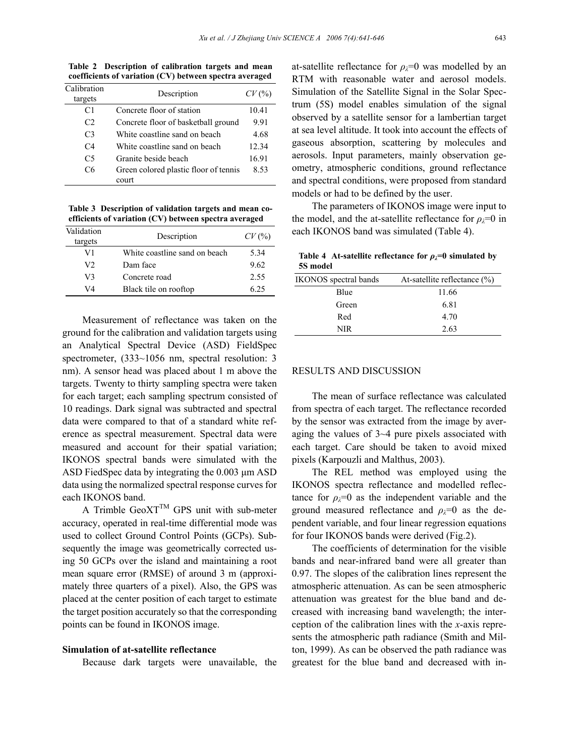**coefficients of variation (CV) between spectra averaged**  Calibration targets **Description** *CV* (%) C1 Concrete floor of station 10.41  $C2$  Concrete floor of basketball ground  $9.91$ 

**Table 2 Description of calibration targets and mean** 

| $\mathbf{L}$   | CONCrete HOOI OF DASKELDAH GIOUNG     | ソソト   |
|----------------|---------------------------------------|-------|
| C <sub>3</sub> | White coastline sand on beach         | 4.68  |
| C <sub>4</sub> | White coastline sand on beach         | 12.34 |
| C5             | Granite beside beach                  | 16.91 |
| C6             | Green colored plastic floor of tennis | 8.53  |
|                | court                                 |       |

**Table 3 Description of validation targets and mean coefficients of variation (CV) between spectra averaged** 

| Validation<br>targets | Description                   | CV(%) |
|-----------------------|-------------------------------|-------|
| V1                    | White coastline sand on beach | 5 34  |
| V2                    | Dam face                      | 9.62  |
| V3                    | Concrete road                 | 2.55  |
| V4                    | Black tile on rooftop         | 6 25  |

Measurement of reflectance was taken on the ground for the calibration and validation targets using an Analytical Spectral Device (ASD) FieldSpec spectrometer,  $(333{\sim}1056$  nm, spectral resolution: 3 nm). A sensor head was placed about 1 m above the targets. Twenty to thirty sampling spectra were taken for each target; each sampling spectrum consisted of 10 readings. Dark signal was subtracted and spectral data were compared to that of a standard white reference as spectral measurement. Spectral data were measured and account for their spatial variation; IKONOS spectral bands were simulated with the ASD FiedSpec data by integrating the 0.003  $\mu$ m ASD data using the normalized spectral response curves for each IKONOS band.

A Trimble  $GeoXT^{TM}$  GPS unit with sub-meter accuracy, operated in real-time differential mode was used to collect Ground Control Points (GCPs). Subsequently the image was geometrically corrected using 50 GCPs over the island and maintaining a root mean square error (RMSE) of around 3 m (approximately three quarters of a pixel). Also, the GPS was placed at the center position of each target to estimate the target position accurately so that the corresponding points can be found in IKONOS image.

#### **Simulation of at-satellite reflectance**

Because dark targets were unavailable, the

at-satellite reflectance for  $\rho_{\lambda}=0$  was modelled by an RTM with reasonable water and aerosol models. Simulation of the Satellite Signal in the Solar Spectrum (5S) model enables simulation of the signal observed by a satellite sensor for a lambertian target at sea level altitude. It took into account the effects of gaseous absorption, scattering by molecules and aerosols. Input parameters, mainly observation geometry, atmospheric conditions, ground reflectance and spectral conditions, were proposed from standard models or had to be defined by the user.

The parameters of IKONOS image were input to the model, and the at-satellite reflectance for  $\rho_i=0$  in each IKONOS band was simulated (Table 4).

Table 4 At-satellite reflectance for  $\rho_{\lambda}=0$  simulated by **5S model** 

| <b>IKONOS</b> spectral bands | At-satellite reflectance $(\%)$ |
|------------------------------|---------------------------------|
| Blue                         | 11.66                           |
| Green                        | 6.81                            |
| Red                          | 4.70                            |
| NIR                          | 2.63                            |
|                              |                                 |

#### RESULTS AND DISCUSSION

The mean of surface reflectance was calculated from spectra of each target. The reflectance recorded by the sensor was extracted from the image by averaging the values of 3~4 pure pixels associated with each target. Care should be taken to avoid mixed pixels (Karpouzli and Malthus, 2003).

The REL method was employed using the IKONOS spectra reflectance and modelled reflectance for  $\rho_{\lambda}=0$  as the independent variable and the ground measured reflectance and  $\rho_i=0$  as the dependent variable, and four linear regression equations for four IKONOS bands were derived (Fig.2).

The coefficients of determination for the visible bands and near-infrared band were all greater than 0.97. The slopes of the calibration lines represent the atmospheric attenuation. As can be seen atmospheric attenuation was greatest for the blue band and decreased with increasing band wavelength; the interception of the calibration lines with the *x*-axis represents the atmospheric path radiance (Smith and Milton, 1999). As can be observed the path radiance was greatest for the blue band and decreased with in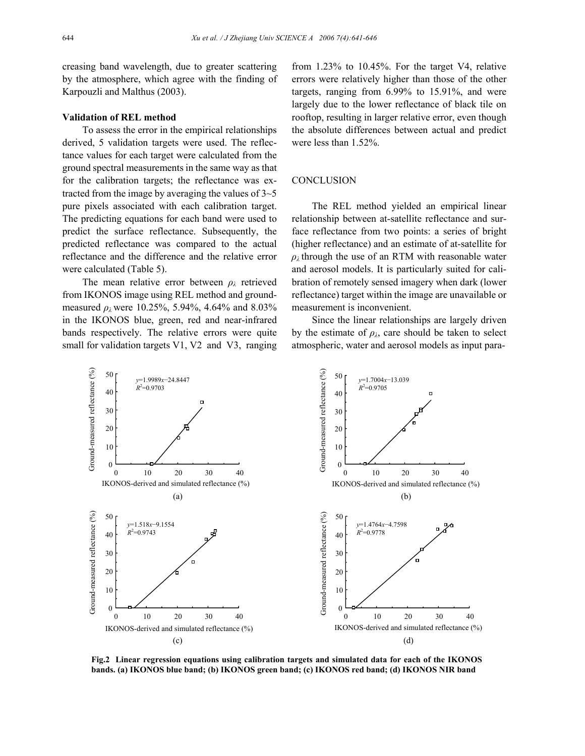creasing band wavelength, due to greater scattering by the atmosphere, which agree with the finding of Karpouzli and Malthus (2003).

## **Validation of REL method**

To assess the error in the empirical relationships derived, 5 validation targets were used. The reflectance values for each target were calculated from the ground spectral measurements in the same way as that for the calibration targets; the reflectance was extracted from the image by averaging the values of  $3\neg 5$ pure pixels associated with each calibration target. The predicting equations for each band were used to predict the surface reflectance. Subsequently, the predicted reflectance was compared to the actual reflectance and the difference and the relative error were calculated (Table 5).

The mean relative error between *ρλ* retrieved from IKONOS image using REL method and groundmeasured  $\rho_{\lambda}$  were 10.25%, 5.94%, 4.64% and 8.03% in the IKONOS blue, green, red and near-infrared bands respectively. The relative errors were quite small for validation targets V1, V2 and V3, ranging

from 1.23% to 10.45%. For the target V4, relative errors were relatively higher than those of the other targets, ranging from 6.99% to 15.91%, and were largely due to the lower reflectance of black tile on rooftop, resulting in larger relative error, even though the absolute differences between actual and predict were less than 1.52%.

# **CONCLUSION**

The REL method yielded an empirical linear relationship between at-satellite reflectance and surface reflectance from two points: a series of bright (higher reflectance) and an estimate of at-satellite for  $\rho_{\lambda}$  through the use of an RTM with reasonable water and aerosol models. It is particularly suited for calibration of remotely sensed imagery when dark (lower reflectance) target within the image are unavailable or measurement is inconvenient.

Since the linear relationships are largely driven by the estimate of  $\rho_{\lambda}$ , care should be taken to select atmospheric, water and aerosol models as input para-



**Fig.2 Linear regression equations using calibration targets and simulated data for each of the IKONOS bands. (a) IKONOS blue band; (b) IKONOS green band; (c) IKONOS red band; (d) IKONOS NIR band**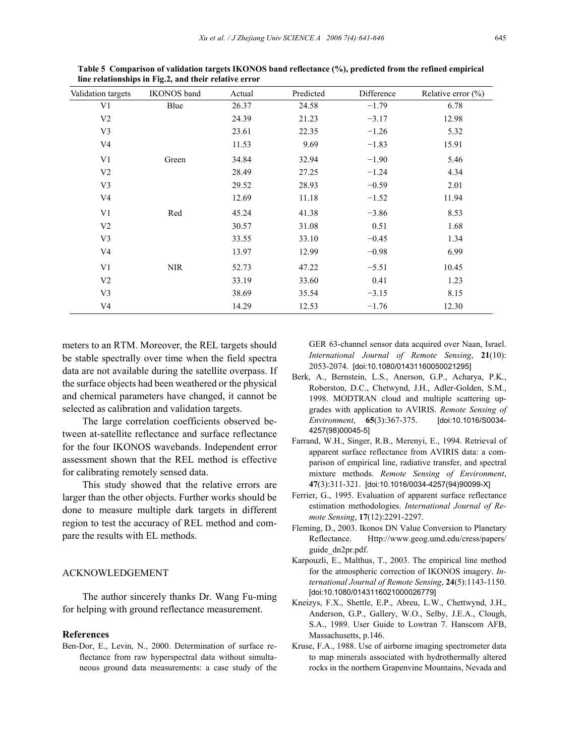| Validation targets | <b>IKONOS</b> band | Actual | Predicted | Difference | Relative error $(\% )$ |
|--------------------|--------------------|--------|-----------|------------|------------------------|
| V <sub>1</sub>     | Blue               | 26.37  | 24.58     | $-1.79$    | 6.78                   |
| V <sub>2</sub>     |                    | 24.39  | 21.23     | $-3.17$    | 12.98                  |
| V <sub>3</sub>     |                    | 23.61  | 22.35     | $-1.26$    | 5.32                   |
| V <sub>4</sub>     |                    | 11.53  | 9.69      | $-1.83$    | 15.91                  |
| V <sub>1</sub>     | Green              | 34.84  | 32.94     | $-1.90$    | 5.46                   |
| V <sub>2</sub>     |                    | 28.49  | 27.25     | $-1.24$    | 4.34                   |
| V <sub>3</sub>     |                    | 29.52  | 28.93     | $-0.59$    | 2.01                   |
| V4                 |                    | 12.69  | 11.18     | $-1.52$    | 11.94                  |
| V <sub>1</sub>     | Red                | 45.24  | 41.38     | $-3.86$    | 8.53                   |
| V <sub>2</sub>     |                    | 30.57  | 31.08     | 0.51       | 1.68                   |
| V <sub>3</sub>     |                    | 33.55  | 33.10     | $-0.45$    | 1.34                   |
| V4                 |                    | 13.97  | 12.99     | $-0.98$    | 6.99                   |
| V <sub>1</sub>     | <b>NIR</b>         | 52.73  | 47.22     | $-5.51$    | 10.45                  |
| V <sub>2</sub>     |                    | 33.19  | 33.60     | 0.41       | 1.23                   |
| V <sub>3</sub>     |                    | 38.69  | 35.54     | $-3.15$    | 8.15                   |
| V <sub>4</sub>     |                    | 14.29  | 12.53     | $-1.76$    | 12.30                  |

**Table 5 Comparison of validation targets IKONOS band reflectance (%), predicted from the refined empirical line relationships in Fig.2, and their relative error** 

meters to an RTM. Moreover, the REL targets should be stable spectrally over time when the field spectra data are not available during the satellite overpass. If the surface objects had been weathered or the physical and chemical parameters have changed, it cannot be selected as calibration and validation targets.

The large correlation coefficients observed between at-satellite reflectance and surface reflectance for the four IKONOS wavebands. Independent error assessment shown that the REL method is effective for calibrating remotely sensed data.

This study showed that the relative errors are larger than the other objects. Further works should be done to measure multiple dark targets in different region to test the accuracy of REL method and compare the results with EL methods.

# ACKNOWLEDGEMENT

The author sincerely thanks Dr. Wang Fu-ming for helping with ground reflectance measurement.

## **References**

Ben-Dor, E., Levin, N., 2000. Determination of surface reflectance from raw hyperspectral data without simultaneous ground data measurements: a case study of the GER 63-channel sensor data acquired over Naan, Israel. *International Journal of Remote Sensing*, **21**(10): 2053-2074. [doi:10.1080/01431160050021295]

- Berk, A., Bernstein, L.S., Anerson, G.P., Acharya, P.K., Roberston, D.C., Chetwynd, J.H., Adler-Golden, S.M., 1998. MODTRAN cloud and multiple scattering upgrades with application to AVIRIS. *Remote Sensing of Environment*, **65**(3):367-375. [doi:10.1016/S0034- 4257(98)00045-5]
- Farrand, W.H., Singer, R.B., Merenyi, E., 1994. Retrieval of apparent surface reflectance from AVIRIS data: a comparison of empirical line, radiative transfer, and spectral mixture methods. *Remote Sensing of Environment*, **47**(3):311-321. [doi:10.1016/0034-4257(94)90099-X]
- Ferrier, G., 1995. Evaluation of apparent surface reflectance estimation methodologies. *International Journal of Remote Sensing*, **17**(12):2291-2297.
- Fleming, D., 2003. Ikonos DN Value Conversion to Planetary Reflectance. Http://www.geog.umd.edu/cress/papers/ guide\_dn2pr.pdf.
- Karpouzli, E., Malthus, T., 2003. The empirical line method for the atmospheric correction of IKONOS imagery. *International Journal of Remote Sensing*, **24**(5):1143-1150. [doi:10.1080/0143116021000026779]
- Kneizys, F.X., Shettle, E.P., Abreu, L.W., Chettwynd, J.H., Anderson, G.P., Gallery, W.O., Selby, J.E.A., Clough, S.A., 1989. User Guide to Lowtran 7. Hanscom AFB, Massachusetts, p.146.
- Kruse, F.A., 1988. Use of airborne imaging spectrometer data to map minerals associated with hydrothermally altered rocks in the northern Grapenvine Mountains, Nevada and